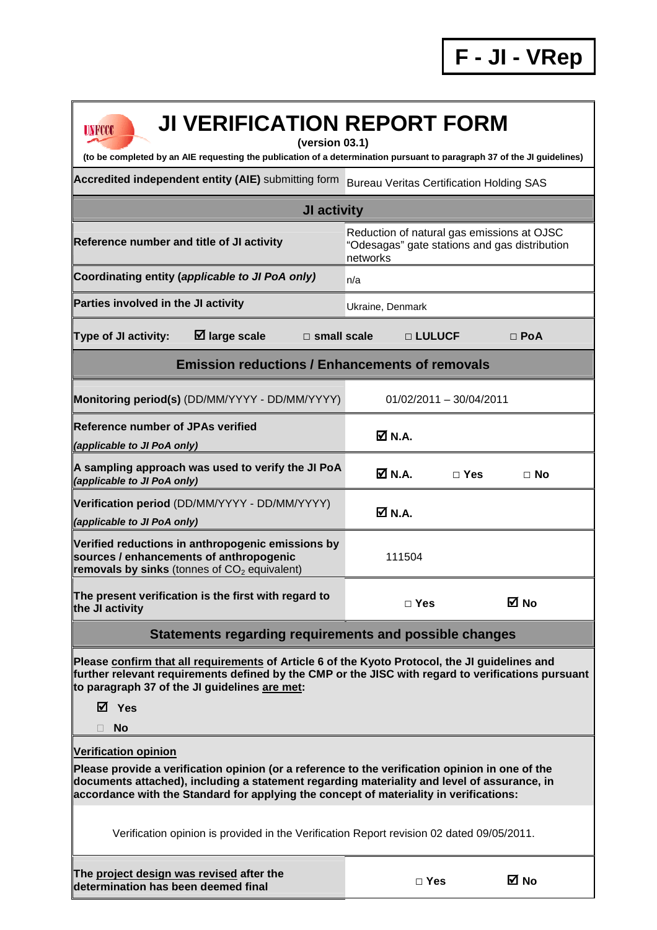| <b>JI VERIFICATION REPORT FORM</b><br><b>UNFCCC</b>                                                                                                                                                                                                                                      |                                                                                                         |  |  |  |  |  |  |
|------------------------------------------------------------------------------------------------------------------------------------------------------------------------------------------------------------------------------------------------------------------------------------------|---------------------------------------------------------------------------------------------------------|--|--|--|--|--|--|
| (version 03.1)<br>(to be completed by an AIE requesting the publication of a determination pursuant to paragraph 37 of the JI guidelines)                                                                                                                                                |                                                                                                         |  |  |  |  |  |  |
| Accredited independent entity (AIE) submitting form                                                                                                                                                                                                                                      | <b>Bureau Veritas Certification Holding SAS</b>                                                         |  |  |  |  |  |  |
| <b>JI activity</b>                                                                                                                                                                                                                                                                       |                                                                                                         |  |  |  |  |  |  |
| Reference number and title of JI activity                                                                                                                                                                                                                                                | Reduction of natural gas emissions at OJSC<br>"Odesagas" gate stations and gas distribution<br>networks |  |  |  |  |  |  |
| Coordinating entity (applicable to JI PoA only)                                                                                                                                                                                                                                          | n/a                                                                                                     |  |  |  |  |  |  |
| Parties involved in the JI activity                                                                                                                                                                                                                                                      | Ukraine, Denmark                                                                                        |  |  |  |  |  |  |
| $\boxtimes$ large scale<br>Type of JI activity:<br>$\Box$ small scale                                                                                                                                                                                                                    | □ LULUCF<br>$\Box$ PoA                                                                                  |  |  |  |  |  |  |
| <b>Emission reductions / Enhancements of removals</b>                                                                                                                                                                                                                                    |                                                                                                         |  |  |  |  |  |  |
| Monitoring period(s) (DD/MM/YYYY - DD/MM/YYYY)                                                                                                                                                                                                                                           | 01/02/2011 - 30/04/2011                                                                                 |  |  |  |  |  |  |
| <b>Reference number of JPAs verified</b><br>(applicable to JI PoA only)                                                                                                                                                                                                                  | M N.A.                                                                                                  |  |  |  |  |  |  |
| A sampling approach was used to verify the JI PoA<br>(applicable to JI PoA only)                                                                                                                                                                                                         | $\overline{M}$ N.A.<br>$\Box$ Yes<br>$\Box$ No                                                          |  |  |  |  |  |  |
| Verification period (DD/MM/YYYY - DD/MM/YYYY)<br>(applicable to JI PoA only)                                                                                                                                                                                                             | M N.A.                                                                                                  |  |  |  |  |  |  |
| Verified reductions in anthropogenic emissions by<br>sources / enhancements of anthropogenic<br>removals by sinks (tonnes of $CO2$ equivalent)                                                                                                                                           | 111504                                                                                                  |  |  |  |  |  |  |
| The present verification is the first with regard to<br>the JI activity                                                                                                                                                                                                                  | <b>⊠</b> No<br>$\Box$ Yes                                                                               |  |  |  |  |  |  |
| Statements regarding requirements and possible changes                                                                                                                                                                                                                                   |                                                                                                         |  |  |  |  |  |  |
| Please confirm that all requirements of Article 6 of the Kyoto Protocol, the JI guidelines and<br>further relevant requirements defined by the CMP or the JISC with regard to verifications pursuant<br>to paragraph 37 of the JI guidelines are met:                                    |                                                                                                         |  |  |  |  |  |  |
| ⊠ Yes<br><b>No</b>                                                                                                                                                                                                                                                                       |                                                                                                         |  |  |  |  |  |  |
| <b>Verification opinion</b>                                                                                                                                                                                                                                                              |                                                                                                         |  |  |  |  |  |  |
| Please provide a verification opinion (or a reference to the verification opinion in one of the<br>documents attached), including a statement regarding materiality and level of assurance, in<br>accordance with the Standard for applying the concept of materiality in verifications: |                                                                                                         |  |  |  |  |  |  |
| Verification opinion is provided in the Verification Report revision 02 dated 09/05/2011.                                                                                                                                                                                                |                                                                                                         |  |  |  |  |  |  |
| The project design was revised after the<br>determination has been deemed final                                                                                                                                                                                                          | ⊠ No<br>$\Box$ Yes                                                                                      |  |  |  |  |  |  |